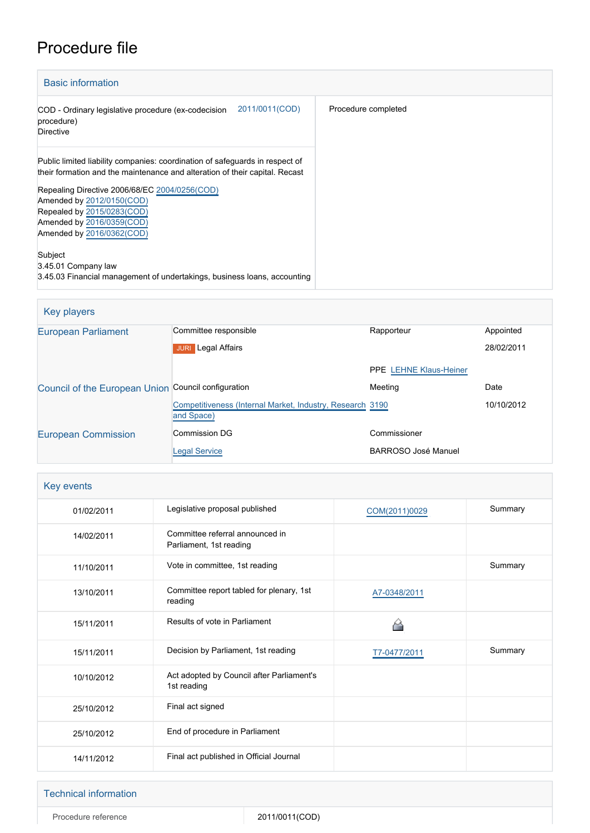## Procedure file

| <b>Basic information</b>                                                                                                                                    |                     |
|-------------------------------------------------------------------------------------------------------------------------------------------------------------|---------------------|
| 2011/0011(COD)<br>COD - Ordinary legislative procedure (ex-codecision<br>procedure)<br><b>Directive</b>                                                     | Procedure completed |
| Public limited liability companies: coordination of safeguards in respect of<br>their formation and the maintenance and alteration of their capital. Recast |                     |
| Repealing Directive 2006/68/EC 2004/0256(COD)<br>Amended by 2012/0150(COD)                                                                                  |                     |
| Repealed by 2015/0283(COD)                                                                                                                                  |                     |
| Amended by 2016/0359(COD)                                                                                                                                   |                     |
| Amended by 2016/0362(COD)                                                                                                                                   |                     |
| Subject                                                                                                                                                     |                     |
| 3.45.01 Company law                                                                                                                                         |                     |
| 3.45.03 Financial management of undertakings, business loans, accounting                                                                                    |                     |

| Key players                                         |                                                                          |                               |            |
|-----------------------------------------------------|--------------------------------------------------------------------------|-------------------------------|------------|
| <b>European Parliament</b>                          | Committee responsible                                                    | Rapporteur                    | Appointed  |
|                                                     | <b>JURI</b> Legal Affairs                                                |                               | 28/02/2011 |
|                                                     |                                                                          | <b>PPE LEHNE Klaus-Heiner</b> |            |
| Council of the European Union Council configuration |                                                                          | Meeting                       | Date       |
|                                                     | Competitiveness (Internal Market, Industry, Research 3190)<br>and Space) |                               | 10/10/2012 |
| <b>European Commission</b>                          | <b>Commission DG</b>                                                     | Commissioner                  |            |
|                                                     | <b>Legal Service</b>                                                     | <b>BARROSO José Manuel</b>    |            |

|  | <b>Key events</b> |
|--|-------------------|
|--|-------------------|

| 01/02/2011 | Legislative proposal published                             | COM(2011)0029 | Summary |
|------------|------------------------------------------------------------|---------------|---------|
| 14/02/2011 | Committee referral announced in<br>Parliament, 1st reading |               |         |
| 11/10/2011 | Vote in committee, 1st reading                             |               | Summary |
| 13/10/2011 | Committee report tabled for plenary, 1st<br>reading        | A7-0348/2011  |         |
| 15/11/2011 | Results of vote in Parliament                              |               |         |
| 15/11/2011 | Decision by Parliament, 1st reading                        | T7-0477/2011  | Summary |
| 10/10/2012 | Act adopted by Council after Parliament's<br>1st reading   |               |         |
| 25/10/2012 | Final act signed                                           |               |         |
| 25/10/2012 | End of procedure in Parliament                             |               |         |
| 14/11/2012 | Final act published in Official Journal                    |               |         |

#### Technical information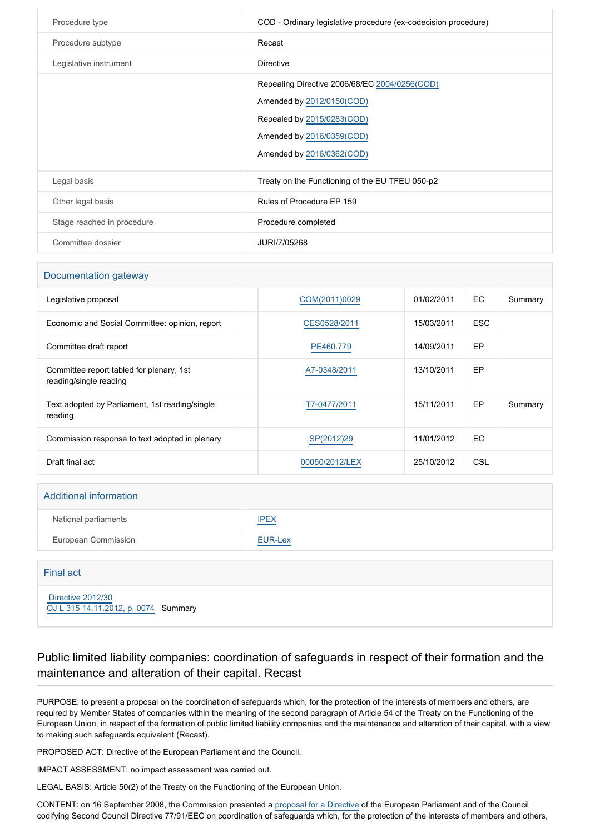| Procedure type             | COD - Ordinary legislative procedure (ex-codecision procedure)                                                                                                     |
|----------------------------|--------------------------------------------------------------------------------------------------------------------------------------------------------------------|
| Procedure subtype          | Recast                                                                                                                                                             |
| Legislative instrument     | <b>Directive</b>                                                                                                                                                   |
|                            | Repealing Directive 2006/68/EC 2004/0256(COD)<br>Amended by 2012/0150(COD)<br>Repealed by 2015/0283(COD)<br>Amended by 2016/0359(COD)<br>Amended by 2016/0362(COD) |
| Legal basis                | Treaty on the Functioning of the EU TFEU 050-p2                                                                                                                    |
| Other legal basis          | Rules of Procedure EP 159                                                                                                                                          |
| Stage reached in procedure | Procedure completed                                                                                                                                                |
| Committee dossier          | JURI/7/05268                                                                                                                                                       |

#### Documentation gateway

| Legislative proposal                                               | COM(2011)0029  | 01/02/2011 | EC         | Summary |
|--------------------------------------------------------------------|----------------|------------|------------|---------|
| Economic and Social Committee: opinion, report                     | CES0528/2011   | 15/03/2011 | <b>ESC</b> |         |
| Committee draft report                                             | PE460.779      | 14/09/2011 | EP         |         |
| Committee report tabled for plenary, 1st<br>reading/single reading | A7-0348/2011   | 13/10/2011 | EP         |         |
| Text adopted by Parliament, 1st reading/single<br>reading          | T7-0477/2011   | 15/11/2011 | EP         | Summary |
| Commission response to text adopted in plenary                     | SP(2012)29     | 11/01/2012 | <b>EC</b>  |         |
| Draft final act                                                    | 00050/2012/LEX | 25/10/2012 | CSL        |         |

# Additional information National parliaments **[IPEX](http://www.ipex.eu/IPEXL-WEB/dossier/dossier.do?code=COD&year=2011&number=0011&appLng=EN)** European Commission **[EUR-Lex](http://ec.europa.eu/prelex/liste_resultats.cfm?CL=en&ReqId=0&DocType=COD&DocYear=2011&DocNum=0011)**

#### Final act

 [Directive 2012/30](https://eur-lex.europa.eu/smartapi/cgi/sga_doc?smartapi!celexplus!prod!CELEXnumdoc&lg=EN&numdoc=32012L0030) [OJ L 315 14.11.2012, p. 0074](https://eur-lex.europa.eu/legal-content/EN/TXT/?uri=OJ:L:2012:315:TOC) Summary

### Public limited liability companies: coordination of safeguards in respect of their formation and the maintenance and alteration of their capital. Recast

PURPOSE: to present a proposal on the coordination of safeguards which, for the protection of the interests of members and others, are required by Member States of companies within the meaning of the second paragraph of Article 54 of the Treaty on the Functioning of the European Union, in respect of the formation of public limited liability companies and the maintenance and alteration of their capital, with a view to making such safeguards equivalent (Recast).

PROPOSED ACT: Directive of the European Parliament and the Council.

IMPACT ASSESSMENT: no impact assessment was carried out.

LEGAL BASIS: Article 50(2) of the Treaty on the Functioning of the European Union.

CONTENT: on 16 September 2008, the Commission presented a [proposal for a Directive](http://www.europarl.europa.eu/oeil/FindByProcnum.do?lang=en&procnum=COD/2008/0173) of the European Parliament and of the Council codifying Second Council Directive 77/91/EEC on coordination of safeguards which, for the protection of the interests of members and others,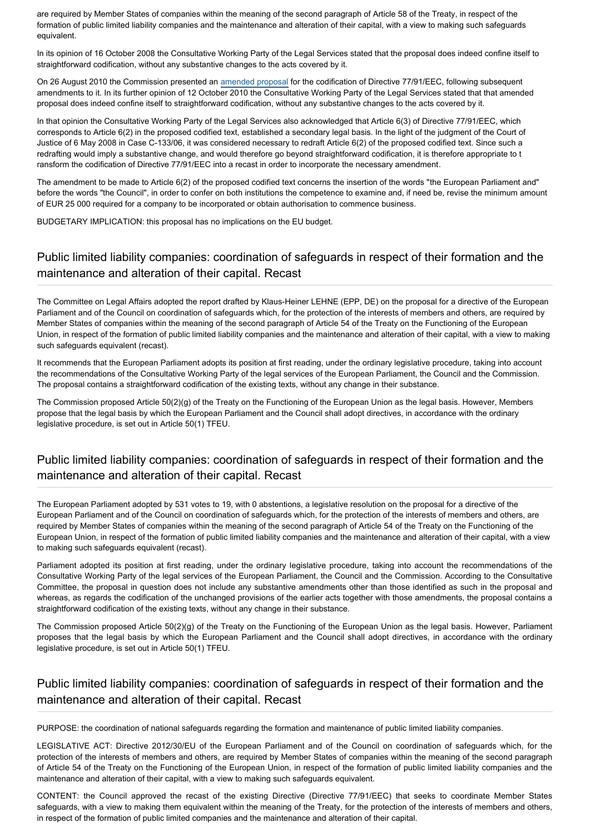are required by Member States of companies within the meaning of the second paragraph of Article 58 of the Treaty, in respect of the formation of public limited liability companies and the maintenance and alteration of their capital, with a view to making such safeguards equivalent.

In its opinion of 16 October 2008 the Consultative Working Party of the Legal Services stated that the proposal does indeed confine itself to straightforward codification, without any substantive changes to the acts covered by it.

On 26 August 2010 the Commission presented an [amended proposal](http://www.eur-lex.europa.eu/LexUriServ/LexUriServ.do?uri=COM:2010:0388:FIN:EN:PDF) for the codification of Directive 77/91/EEC, following subsequent amendments to it. In its further opinion of 12 October 2010 the Consultative Working Party of the Legal Services stated that that amended proposal does indeed confine itself to straightforward codification, without any substantive changes to the acts covered by it.

In that opinion the Consultative Working Party of the Legal Services also acknowledged that Article 6(3) of Directive 77/91/EEC, which corresponds to Article 6(2) in the proposed codified text, established a secondary legal basis. In the light of the judgment of the Court of Justice of 6 May 2008 in Case C-133/06, it was considered necessary to redraft Article 6(2) of the proposed codified text. Since such a redrafting would imply a substantive change, and would therefore go beyond straightforward codification, it is therefore appropriate to t ransform the codification of Directive 77/91/EEC into a recast in order to incorporate the necessary amendment.

The amendment to be made to Article 6(2) of the proposed codified text concerns the insertion of the words "the European Parliament and" before the words "the Council", in order to confer on both institutions the competence to examine and, if need be, revise the minimum amount of EUR 25 000 required for a company to be incorporated or obtain authorisation to commence business.

BUDGETARY IMPLICATION: this proposal has no implications on the EU budget.

## Public limited liability companies: coordination of safeguards in respect of their formation and the maintenance and alteration of their capital. Recast

The Committee on Legal Affairs adopted the report drafted by Klaus-Heiner LEHNE (EPP, DE) on the proposal for a directive of the European Parliament and of the Council on coordination of safeguards which, for the protection of the interests of members and others, are required by Member States of companies within the meaning of the second paragraph of Article 54 of the Treaty on the Functioning of the European Union, in respect of the formation of public limited liability companies and the maintenance and alteration of their capital, with a view to making such safeguards equivalent (recast).

It recommends that the European Parliament adopts its position at first reading, under the ordinary legislative procedure, taking into account the recommendations of the Consultative Working Party of the legal services of the European Parliament, the Council and the Commission. The proposal contains a straightforward codification of the existing texts, without any change in their substance.

The Commission proposed Article 50(2)(g) of the Treaty on the Functioning of the European Union as the legal basis. However, Members propose that the legal basis by which the European Parliament and the Council shall adopt directives, in accordance with the ordinary legislative procedure, is set out in Article 50(1) TFEU.

## Public limited liability companies: coordination of safeguards in respect of their formation and the maintenance and alteration of their capital. Recast

The European Parliament adopted by 531 votes to 19, with 0 abstentions, a legislative resolution on the proposal for a directive of the European Parliament and of the Council on coordination of safeguards which, for the protection of the interests of members and others, are required by Member States of companies within the meaning of the second paragraph of Article 54 of the Treaty on the Functioning of the European Union, in respect of the formation of public limited liability companies and the maintenance and alteration of their capital, with a view to making such safeguards equivalent (recast).

Parliament adopted its position at first reading, under the ordinary legislative procedure, taking into account the recommendations of the Consultative Working Party of the legal services of the European Parliament, the Council and the Commission. According to the Consultative Committee, the proposal in question does not include any substantive amendments other than those identified as such in the proposal and whereas, as regards the codification of the unchanged provisions of the earlier acts together with those amendments, the proposal contains a straightforward codification of the existing texts, without any change in their substance.

The Commission proposed Article 50(2)(g) of the Treaty on the Functioning of the European Union as the legal basis. However, Parliament proposes that the legal basis by which the European Parliament and the Council shall adopt directives, in accordance with the ordinary legislative procedure, is set out in Article 50(1) TFEU.

## Public limited liability companies: coordination of safeguards in respect of their formation and the maintenance and alteration of their capital. Recast

PURPOSE: the coordination of national safeguards regarding the formation and maintenance of public limited liability companies.

LEGISLATIVE ACT: Directive 2012/30/EU of the European Parliament and of the Council on coordination of safeguards which, for the protection of the interests of members and others, are required by Member States of companies within the meaning of the second paragraph of Article 54 of the Treaty on the Functioning of the European Union, in respect of the formation of public limited liability companies and the maintenance and alteration of their capital, with a view to making such safeguards equivalent.

CONTENT: the Council approved the recast of the existing Directive (Directive 77/91/EEC) that seeks to coordinate Member States safeguards, with a view to making them equivalent within the meaning of the Treaty, for the protection of the interests of members and others, in respect of the formation of public limited companies and the maintenance and alteration of their capital.